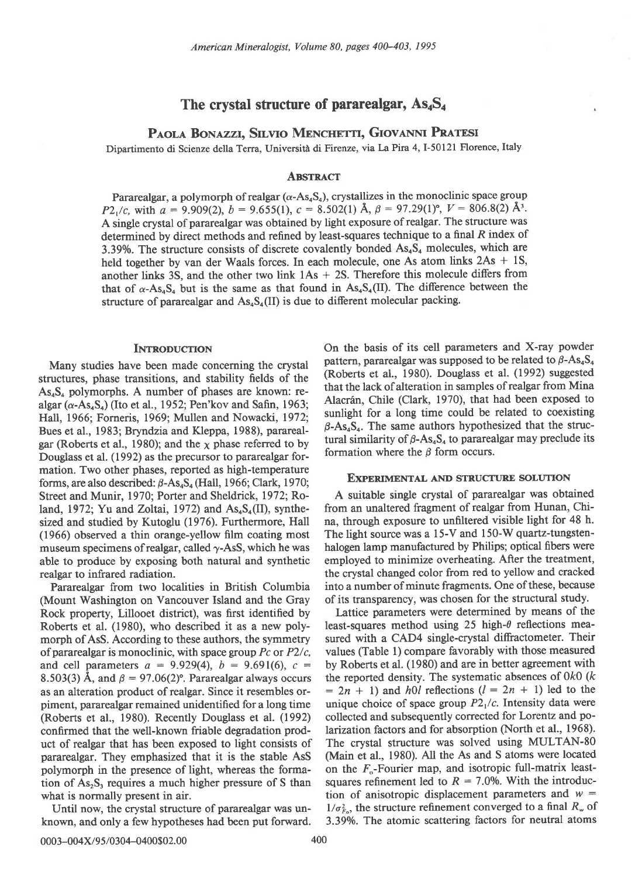# The crystal structure of pararealgar,  $\text{As}_4\text{S}_4$

# PAOLA BONAZZI, SILVIO MENCHETTI, GIOVANNI PRATESI

Dipartimento di Scienze della Terra, Università di Firenze, via La Pira 4, I-50121 Florence, Italy

# **ABSTRACT**

Pararealgar, a polymorph of realgar  $(\alpha$ -As<sub>4</sub>S<sub>4</sub>), crystallizes in the monoclinic space group  $P2_1/c$ , with  $a = 9.909(2)$ ,  $b = 9.655(1)$ ,  $c = 8.502(1)$  Å,  $\beta = 97.29(1)$ °,  $V = 806.8(2)$  Å<sup>3</sup>. A single crystal of pararealgar was obtained by light exposure of realgar. The structure was determined by direct methods and refined by least-squares technique to a final  $R$  index of 3.39%. The structure consists of discrete covalently bonded  $As<sub>4</sub>S<sub>4</sub>$  molecules, which are held together by van der Waals forces. In each molecule, one As atom links  $2As + 1S$ , another links 3S, and the other two link  $1As + 2S$ . Therefore this molecule differs from that of  $\alpha$ -As<sub>4</sub>S<sub>4</sub> but is the same as that found in As<sub>4</sub>S<sub>4</sub>(II). The difference between the structure of pararealgar and  $\text{As}_4\text{S}_4(\text{II})$  is due to different molecular packing.

#### **INTRODUCTION**

Many studies have been made concerning the crystal structures, phase transitions, and stability fields of the  $As<sub>4</sub>S<sub>4</sub>$  polymorphs. A number of phases are known: realgar ( $\alpha$ -As<sub>4</sub>S<sub>4</sub>) (Ito et al., 1952; Pen'kov and Safin, 1963; Hall, 1966; Forneris, 1969; Mullen and Nowacki, 1972; Bues et al., 1983; Bryndzia and Kleppa, 1988), pararealgar (Roberts et al., 1980); and the  $\chi$  phase referred to by Douglass et al. (1992) as the precursor to pararealgar formation. Two other phases, reported as high-temperature forms, are also described:  $\beta$ -As<sub>4</sub>S<sub>4</sub> (Hall, 1966; Clark, 1970; Street and Munir, 1970; Porter and Sheldrick, 1972; Roland, 1972; Yu and Zoltai, 1972) and  $\text{As}_4\text{S}_4(\text{II})$ , synthesized and studied by Kutoglu (1976). Furthermore, Hall (1966) observed a thin orange-yellow film coating most museum specimens of realgar, called  $\gamma$ -AsS, which he was able to produce by exposing both natural and synthetic realgar to infrared radiation.

Pararealgar from two localities in British Columbia (Mount Washington on Vancouver Island and the Gray Rock property, Lillooet district), was first identified by Roberts et al. (1980), who described it as a new polymorph of AsS. According to these authors, the symmetry of pararealgar is monoclinic, with space group  $Pc$  or  $P2/c$ , and cell parameters  $a = 9.929(4)$ ,  $b = 9.691(6)$ ,  $c =$ 8.503(3) Å, and  $\beta = 97.06(2)$ °. Pararealgar always occurs as an alteration product of realgar. Since it resembles orpiment, pararealgar remained unidentified for a long time (Roberts et al., 1980). Recently Douglass et al. (1992) confirmed that the well-known friable degradation product of realgar that has been exposed to light consists of pararealgar. They emphasized that it is the stable AsS polymorph in the presence of light, whereas the formation of  $As_2S_3$  requires a much higher pressure of S than what is normally present in air.

Until now, the crystal structure of pararealgar was unknown, and only a few hypotheses had been put forward.

On the basis of its cell parameters and X-ray powder pattern, pararealgar was supposed to be related to  $\beta$ -As<sub>4</sub>S<sub>4</sub> (Roberts et al., 1980). Douglass et al. (1992) suggested that the lack of alteration in samples of realgar from Mina Alacrán, Chile (Clark, 1970), that had been exposed to sunlight for a long time could be related to coexisting  $\beta$ -As<sub>4</sub>S<sub>4</sub>. The same authors hypothesized that the structural similarity of  $\beta$ -As<sub>4</sub>S<sub>4</sub> to pararealgar may preclude its formation where the  $\beta$  form occurs.

#### **EXPERIMENTAL AND STRUCTURE SOLUTION**

A suitable single crystal of pararealgar was obtained from an unaltered fragment of realgar from Hunan, China, through exposure to unfiltered visible light for 48 h. The light source was a 15-V and 150-W quartz-tungstenhalogen lamp manufactured by Philips; optical fibers were employed to minimize overheating. After the treatment, the crystal changed color from red to yellow and cracked into a number of minute fragments. One of these, because of its transparency, was chosen for the structural study.

Lattice parameters were determined by means of the least-squares method using 25 high- $\theta$  reflections measured with a CAD4 single-crystal diffractometer. Their values (Table 1) compare favorably with those measured by Roberts et al. (1980) and are in better agreement with the reported density. The systematic absences of  $0k0$  ( $k$  $= 2n + 1$ ) and h0l reflections ( $l = 2n + 1$ ) led to the unique choice of space group  $P2<sub>1</sub>/c$ . Intensity data were collected and subsequently corrected for Lorentz and polarization factors and for absorption (North et al., 1968). The crystal structure was solved using MULTAN-80 (Main et al., 1980). All the As and S atoms were located on the  $F_{o}$ -Fourier map, and isotropic full-matrix leastsquares refinement led to  $R = 7.0\%$ . With the introduction of anisotropic displacement parameters and  $w =$  $1/\sigma_{F_0}^2$ , the structure refinement converged to a final  $R_w$  of 3.39%. The atomic scattering factors for neutral atoms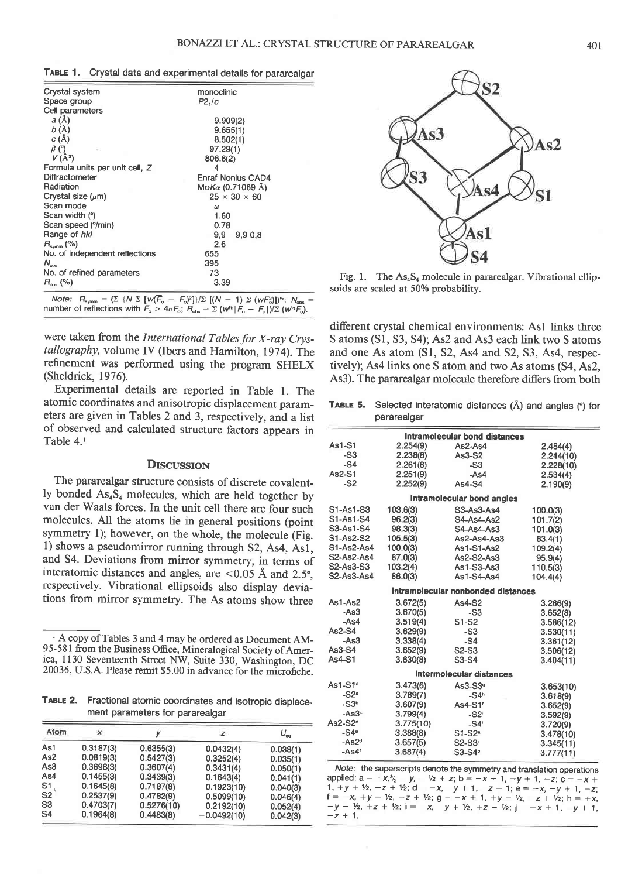|  |  | TABLE 1. Crystal data and experimental details for pararealgar |  |  |
|--|--|----------------------------------------------------------------|--|--|
|--|--|----------------------------------------------------------------|--|--|

| Crystal system                 | monoclinic               |
|--------------------------------|--------------------------|
| Space group                    | P2,/c                    |
| Cell parameters                |                          |
| a (Å)                          | 9.909(2)                 |
| b(A)                           | 9.655(1)                 |
| c(A)                           | 8.502(1)                 |
| $\beta$ (°)<br>ä.              | 97.29(1)                 |
| $V(\AA^3)$                     | 806.8(2)                 |
| Formula units per unit cell, Z | 4                        |
| Diffractometer                 | Enraf Nonius CAD4        |
| Radiation                      | Mo <i>Kα</i> (0.71069 Å) |
| Crystal size $(\mu m)$         | $25 \times 30 \times 60$ |
| Scan mode                      | ω                        |
| Scan width (°)                 | 1.60                     |
| Scan speed (°/min)             | 0.78                     |
| Range of hkl                   | $-9.9 - 9.9 0.8$         |
| $R_{\text{symm}}$ (%)          | 2.6                      |
| No. of independent reflections | 655                      |
| $N_{\rm obs}$                  | 395                      |
| No. of refined parameters      | 73                       |
| $R_{\rm obs}$ (%)              | 3.39                     |
|                                |                          |

Note:  $R_{\text{symm}} = \left(\sum {\{N \sum {\left[W(F_o - F_o)^2\}\}\}/\sum {\left[{(N-1) \sum (W-F_o) }\right]}\right]^{\nu_{\text{S}}}$ ,  $N_{\text{obs}} = \min{\{N \cdot |F_o - F_o\}}/2$  (w<sup>\*</sup>F<sub>0</sub>).

were taken from the International Tables for X-rav Crvstallography, volume IV (Ibers and Hamilton, 1974). The refinement was perforrned using the program SHELX (Sheldrick, 1976).

Experimental details are reported in Table l. The atomic coordinates and anisotropic displacement parameters are given in Tables 2 and 3, respectively, and a list of observed and calculated structure factors appears in Table 4.'

## **DISCUSSION**

The pararealgar structure consists of discrete covalently bonded  $As<sub>4</sub>S<sub>4</sub>$  molecules, which are held together by van der Waals forces. In the unit cell there are four such molecules. All the atoms lie in general positions (point symmetry l); however, on the whole, the molecule (Fig. l) shows a pseudomirror running through 52, As4, Asl, and 54. Deviations from mirror symmetry, in terms of interatomic distances and angles, are  $< 0.05$  Å and 2.5°, respectively. Vibrational ellipsoids also display deviations from mirror symmetry. The As atoms show three

TABLE 2. Fractional atomic coordinates and isotropic displacement parameters for pararealgar

|                                        |                                     |                                      |                                           |                                  | As2-S2 $d$         | 3.775(10)                                                                                                                                                                                     | $-S4h$              |
|----------------------------------------|-------------------------------------|--------------------------------------|-------------------------------------------|----------------------------------|--------------------|-----------------------------------------------------------------------------------------------------------------------------------------------------------------------------------------------|---------------------|
| Atom                                   |                                     |                                      |                                           | $U_{\rm ac}$                     | $-S4e$             | 3.388(8)                                                                                                                                                                                      | $S1-S2a$            |
| As1<br>As <sub>2</sub>                 | 0.3187(3)<br>0.0819(3)              | 0.6355(3)<br>0.5427(3)               | 0.0432(4)<br>0.3252(4)                    | 0.038(1)<br>0.035(1)             | $-As2d$<br>$-As4'$ | 3.657(5)<br>3.687(4)                                                                                                                                                                          | $S2-S3$<br>$S3-S4b$ |
| As3<br>As4<br>S <sub>1</sub>           | 0.3698(3)<br>0.1455(3)<br>0.1645(8) | 0.3607(4)<br>0.3439(3)<br>0.7187(8)  | 0.3431(4)<br>0.1643(4)<br>0.1923(10)      | 0.050(1)<br>0.041(1)             |                    | Note: the superscripts denote the symm<br>applied: $a = +x, \frac{3}{2} - y, -\frac{1}{2} + z$ ; $b = -x$                                                                                     |                     |
| S <sub>2</sub><br>S <sub>3</sub><br>S4 | 0.2537(9)<br>0.4703(7)<br>0.1964(8) | 0.4782(9)<br>0.5276(10)<br>0.4483(8) | 0.5099(10)<br>0.2192(10)<br>$-0.0492(10)$ | 0.040(3)<br>0.046(4)<br>0.052(4) |                    | 1, +y + $\frac{1}{2}$ , -z + $\frac{1}{2}$ ; d = -x, -y + 1, -<br>$f = -x$ , $+y - \frac{1}{2}$ , $-z + \frac{1}{2}$ ; $q = -x + 1$<br>$-y + V_2$ , $+z + V_2$ ; $i = +x$ , $-y + V_2$ , $+i$ |                     |
|                                        |                                     |                                      |                                           | 0.042(3)                         | $-z + 1$ .         |                                                                                                                                                                                               |                     |



Fig. 1. The  $As<sub>4</sub>S<sub>4</sub>$  molecule in pararealgar. Vibrational ellipsoids are scaled at 50% probability.

different crystal chemical environments: Asl links three S atoms (Sl, 53, S4); As2 and As3 each link two S atoms and one As atom (Sl, 52, As4 and 52, 53, As4, respectively); As4 links one S atom and two As atoms (S4, As2, As3). The pararealgar molecule therefore differs from both

TABLE 5. Selected interatomic distances  $(\hat{A})$  and angles ( $\degree$ ) for pararealgar

| Intramolecular bond distances   |           |                                    |           |  |  |  |
|---------------------------------|-----------|------------------------------------|-----------|--|--|--|
| As1-S1                          | 2.254(9)  | As2-As4                            | 2.484(4)  |  |  |  |
| $-S3$                           | 2.238(8)  | $As3-S2$                           | 2.244(10) |  |  |  |
| $-S4$                           | 2.261(8)  | $-S3$                              | 2.228(10) |  |  |  |
| As2-S1                          | 2.251(9)  | $-As4$                             | 2.534(4)  |  |  |  |
| $-S2$                           | 2.252(9)  | $As4-S4$                           | 2.190(9)  |  |  |  |
|                                 |           | Intramolecular bond angles         |           |  |  |  |
| S1-As1-S3                       | 103.6(3)  | S3-As3-As4                         | 100.0(3)  |  |  |  |
| S1-As1-S4                       | 96.2(3)   | S4-As4-As2                         | 101.7(2)  |  |  |  |
| S3-As1-S4                       | 98.3(3)   | S4-As4-As3                         | 101.0(3)  |  |  |  |
| S1-As2-S2                       | 105.5(3)  | $As2-As4-As3$                      | 83.4(1)   |  |  |  |
| S1-As2-As4                      | 100.0(3)  | As1-S1-As2                         | 109.2(4)  |  |  |  |
| S2-As2-As4                      | 87.0(3)   | As2-S2-As3                         | 95.9(4)   |  |  |  |
| S2-As3-S3                       | 103.2(4)  | As1-S3-As3                         | 110.5(3)  |  |  |  |
| S2-As3-As4                      | 86.0(3)   | As1-S4-As4                         | 104.4(4)  |  |  |  |
|                                 |           | Intramolecular nonbonded distances |           |  |  |  |
| $As1-As2$                       | 3.672(5)  | As4-S2                             | 3.266(9)  |  |  |  |
| $-As3$                          | 3.670(5)  | $-S3$                              | 3.652(8)  |  |  |  |
| -As4                            | 3.519(4)  | S1-S2                              | 3.586(12) |  |  |  |
| $As2-S4$                        | 3.629(9)  | $-S3$                              | 3.530(11) |  |  |  |
| $-As3$                          | 3.338(4)  | $-S4$                              | 3.361(12) |  |  |  |
| As3-S4                          | 3.652(9)  | S2-S3                              | 3.506(12) |  |  |  |
| As4-S1                          | 3.630(8)  | S3-S4                              | 3.404(11) |  |  |  |
| <b>Intermolecular distances</b> |           |                                    |           |  |  |  |
| $As1-S1a$                       | 3.473(6)  | $As3-S39$                          | 3.653(10) |  |  |  |
| $-S2a$                          | 3.789(7)  | $-S4h$                             | 3.618(9)  |  |  |  |
| $-S3b$                          | 3.607(9)  | As4-S1'                            | 3.652(9)  |  |  |  |
| $-$ As3 $c$                     | 3.799(4)  | $-S2$                              | 3.592(9)  |  |  |  |
| $As2-S2d$                       | 3.775(10) | $-S4h$                             | 3.720(9)  |  |  |  |
| $-S4e$                          | 3.388(8)  | S1-S2 <sup>a</sup>                 | 3.478(10) |  |  |  |
| $-As2d$                         | 3.657(5)  | $S2-S3$                            | 3.345(11) |  |  |  |
| $-As4'$                         | 3.687(4)  | S3-S4 <sup>b</sup>                 | 3.777(11) |  |  |  |

Note: the superscripts denote the symmetry and translation operations applied:  $a = +x, \frac{3}{2} - y$ ,  $- \frac{1}{2} + z$ ;  $b = -x + 1$ ,  $-y + 1$ ,  $-z$ ;  $c = -x +$ <br>
1,  $+y + \frac{1}{2}$ ,  $-z + \frac{1}{2}$ ;  $d = -x$ ,  $-y + 1$ ,  $-z + 1$ ;  $e = -x$ ,  $-y + 1$ ,  $-z$ ;  $f = -x$ ,  $+y - \frac{1}{2}$ ,  $-z + \frac{1}{2}$ ;  $g = -x + 1$ ,  $+y - \frac{1}{2}$ ,  $-z + \frac{1}{2}$ ;  $h$  $-y + V_2$ ,  $+z + V_2$ ;  $i = +x$ ,  $-y + V_2$ ,  $+z - V_2$ ;  $j = -x + 1$ ,  $-y + 1$ ,  $-z + 1$ .

<sup>&</sup>lt;sup>1</sup> A copy of Tables 3 and 4 may be ordered as Document AM-95-581 from the Business Office, Mineralogical Society of America, 1130 Seventeenth Street NW, Suite 330, Washington, DC 20036, U.S.A. Please remit \$5.00 in advance for the microfiche.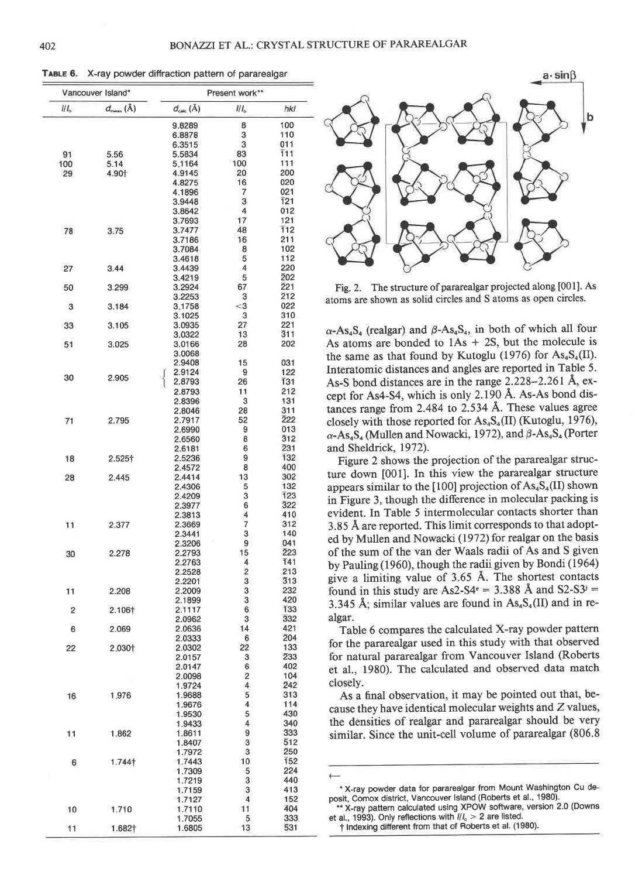TABLE 6. X-ray powder diffraction pattern of pararealgar

| Vancouver Island* |                               |                               | Present work**          |                         |  |  |
|-------------------|-------------------------------|-------------------------------|-------------------------|-------------------------|--|--|
| $I/I_{\rm o}$     | $d_{\text{meas}}(\text{\AA})$ | $d_{\text{calc}}(\text{\AA})$ | $^{\prime\prime\prime}$ | hkl                     |  |  |
|                   |                               | 9.8289                        | 8                       | 100                     |  |  |
|                   |                               | 6.8878                        | 3                       | 110                     |  |  |
|                   |                               | 6.3515<br>5.5834              | 3<br>83                 | 011<br>T11              |  |  |
| 91<br>100         | 5.56<br>5.14                  | 5.1164                        | 100                     | 111                     |  |  |
| 29                | 4.90                          | 4.9145                        | 20                      | 200                     |  |  |
|                   |                               | 4.8275                        | 16                      | 020                     |  |  |
|                   |                               | 4.1896                        | 7                       | 021                     |  |  |
|                   |                               | 3.9448                        | 3                       | 121                     |  |  |
|                   |                               | 3.8642<br>3.7693              | 4<br>17                 | 012<br>121              |  |  |
| 78                | 3.75                          | 3.7477                        | 48                      | 112                     |  |  |
|                   |                               | 3.7186                        | 16                      | 211                     |  |  |
|                   |                               | 3.7084                        | 8                       | 102                     |  |  |
|                   | 3.44                          | 3.4618<br>3.4439              | 5<br>4                  | 112<br>220              |  |  |
| 27                |                               | 3.4219                        | 5                       | 202                     |  |  |
| 50                | 3.299                         | 3.2924                        | 67                      | 221                     |  |  |
|                   |                               | 3.2253                        | з                       | 212                     |  |  |
| 3                 | 3.184                         | 3.1758<br>3.1025              | $<$ 3<br>3              | 022<br>310              |  |  |
| 33                | 3.105                         | 3.0935                        | 27                      | 221                     |  |  |
|                   |                               | 3.0322                        | 13                      | 311                     |  |  |
| 51                | 3.025                         | 3.0166                        | 28                      | 202                     |  |  |
|                   |                               | 3.0068<br>2.9408              | 15                      | 031                     |  |  |
|                   |                               | 2.9124                        | 9                       | 122                     |  |  |
| 30                | 2.905                         | 2.8793                        | 26                      | 131                     |  |  |
|                   |                               | 2.8793                        | 11                      | 212                     |  |  |
|                   |                               | 2.8396                        | 3                       | 131                     |  |  |
| 71                | 2.795                         | 2.8046<br>2.7917              | 28<br>52                | 311<br>222              |  |  |
|                   |                               | 2.6990                        | 9                       | 013                     |  |  |
|                   |                               | 2.6560                        | 8                       | 312                     |  |  |
|                   |                               | 2.6181                        | 6                       | 231                     |  |  |
| 18                | $2.525\dagger$                | 2.5236                        | 9<br>8                  | 132                     |  |  |
| 28                | 2.445                         | 2.4572<br>2.4414              | 13                      | 400<br>302              |  |  |
|                   |                               | 2.4306                        | 5                       | 132                     |  |  |
|                   |                               | 2.4209                        | 3                       | 123                     |  |  |
|                   |                               | 2.3977                        | 6                       | 322                     |  |  |
| 11                | 2.377                         | 2.3813<br>2.3669              | 4<br>7                  | 410<br>312              |  |  |
|                   |                               | 2.3441                        | 3                       | 140                     |  |  |
|                   |                               | 2.3206                        | 9                       | 041                     |  |  |
| 30                | 2.278                         | 2.2793                        | 15                      | 223                     |  |  |
|                   |                               | 2.2763<br>2.2528              | 4<br>2                  | 141<br>213              |  |  |
|                   |                               | 2.2201                        | 3                       | 313                     |  |  |
| 11                | 2.208                         | 2.2009                        | 3                       | 232                     |  |  |
|                   |                               | 2.1899                        | 3                       | 420                     |  |  |
| 2                 | 2.106+                        | 2.1117<br>2.0962              | 6<br>3                  | 133<br>$\overline{3}32$ |  |  |
| 6                 | 2.069                         | 2.0636                        | 14                      | 421                     |  |  |
|                   |                               | 2.0333                        | 6                       | 204                     |  |  |
| 22                | 2.030†                        | 2.0302                        | 22                      | 133                     |  |  |
|                   |                               | 2.0157<br>2.0147              | з<br>6                  | 233<br>402              |  |  |
|                   |                               | 2.0098                        | 2                       | 104                     |  |  |
|                   |                               | 1.9724                        | 4                       | 242                     |  |  |
| 16                | 1.976                         | 1.9688                        | 5                       | 313                     |  |  |
|                   |                               | 1.9676<br>1.9530              | 4<br>5                  | 114<br>430              |  |  |
|                   |                               | 1.9433                        | 4                       | 340                     |  |  |
| 11                | 1.862                         | 1.8611                        | 9                       | 333                     |  |  |
|                   |                               | 1.8407                        | 3                       | 512                     |  |  |
|                   |                               | 1.7972<br>1.7443              | 3<br>10                 | 250<br>152              |  |  |
| 6                 | 1.744†                        | 1.7309                        | 5                       | 224                     |  |  |
| п                 |                               | 1.7219                        | 3                       | 440                     |  |  |
|                   |                               | 1.7159                        | 3                       | 413                     |  |  |
|                   |                               | 1.7127<br>1.7110              | 4<br>11                 | 152<br>404              |  |  |
| 10                | 1.710                         | 1.7055                        | 5                       | 333                     |  |  |
| 11                | 1.682†                        | 1.6805                        | 13                      | 531                     |  |  |



Fig. 2. The structure of pararealgar projected along [001]. As atoms are shown as solid circles and S atoms as open circles.

 $\alpha$ -As<sub>4</sub>S<sub>4</sub> (realgar) and  $\beta$ -As<sub>4</sub>S<sub>4</sub>, in both of which all four As atoms are bonded to  $1As + 2S$ , but the molecule is the same as that found by Kutoglu (1976) for  $\text{As}_{4}\text{S}_{4}$ (II). Interatomic distances and angles are reported in Table 5. As-S bond distances are in the range 2.228-2.261 Å, except for As4-S4, which is only 2.190 Å. As-As bond distances range from 2.484 to 2.534 Å. These values agree closely with those reported for  $\text{As}_4\text{S}_4$ (II) (Kutoglu, 1976),  $\alpha$ -As<sub>4</sub>S<sub>4</sub> (Mullen and Nowacki, 1972), and  $\beta$ -As<sub>4</sub>S<sub>4</sub> (Porter and Sheldrick, 1972).

Figure 2 shows the projection of the pararealgar structure down [001]. In this view the pararealgar structure appears similar to the [100] projection of  $\text{As}_{4}\text{S}_{4}$ (II) shown in Figure 3, though the difference in molecular packing is evident. In Table 5 intermolecular contacts shorter than 3.85 Å are reported. This limit corresponds to that adopted by Mullen and Nowacki (1972) for realgar on the basis of the sum of the van der Waals radii of As and S given by Pauling (1960), though the radii given by Bondi (1964) give a limiting value of 3.65 Å. The shortest contacts found in this study are As2-S4<sup>e</sup> = 3.388 Å and S2-S3<sup>j</sup> = 3.345 Å; similar values are found in  $As<sub>4</sub>S<sub>4</sub>(II)$  and in realgar.

Table 6 compares the calculated X-ray powder pattern for the pararealgar used in this study with that observed for natural pararealgar from Vancouver Island (Roberts et al., 1980). The calculated and observed data match closely.

As a final observation, it may be pointed out that, because they have identical molecular weights and Z values, the densities of realgar and pararealgar should be very similar. Since the unit-cell volume of pararealgar (806.8)

<sup>\*</sup> X-ray powder data for pararealgar from Mount Washington Cu deposit, Comox district, Vancouver Island (Roberts et al., 1980).

<sup>\*</sup> X-ray pattern calculated using XPOW software, version 2.0 (Downs et al., 1993). Only reflections with  $\frac{1}{l_0}$  > 2 are listed.

<sup>†</sup> Indexing different from that of Roberts et al. (1980).